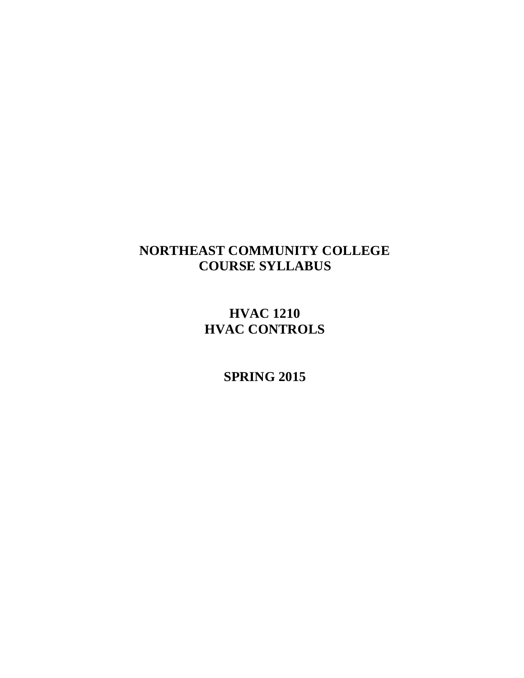# **NORTHEAST COMMUNITY COLLEGE COURSE SYLLABUS**

**HVAC 1210 HVAC CONTROLS**

**SPRING 2015**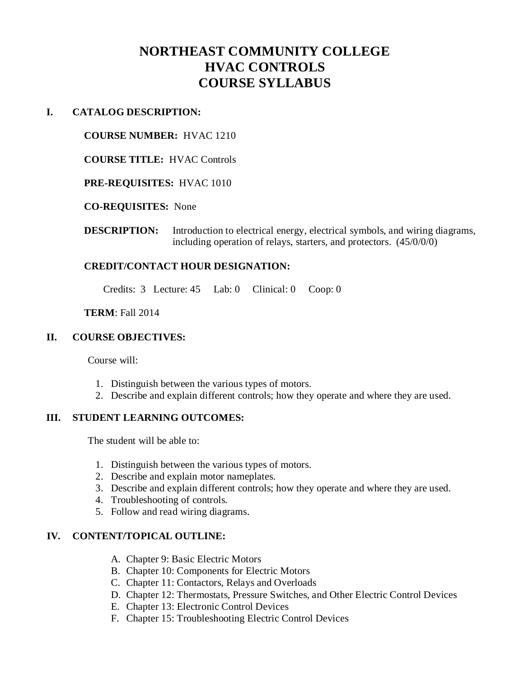# **NORTHEAST COMMUNITY COLLEGE HVAC CONTROLS COURSE SYLLABUS**

#### **I. CATALOG DESCRIPTION:**

#### **COURSE NUMBER:** HVAC 1210

**COURSE TITLE:** HVAC Controls

#### **PRE-REQUISITES:** HVAC 1010

#### **CO-REQUISITES:** None

**DESCRIPTION:** Introduction to electrical energy, electrical symbols, and wiring diagrams, including operation of relays, starters, and protectors. (45/0/0/0)

# **CREDIT/CONTACT HOUR DESIGNATION:**

Credits: 3 Lecture: 45 Lab: 0 Clinical: 0 Coop: 0

#### **TERM**: Fall 2014

#### **II. COURSE OBJECTIVES:**

Course will:

- 1. Distinguish between the various types of motors.
- 2. Describe and explain different controls; how they operate and where they are used.

# **III. STUDENT LEARNING OUTCOMES:**

The student will be able to:

- 1. Distinguish between the various types of motors.
- 2. Describe and explain motor nameplates.
- 3. Describe and explain different controls; how they operate and where they are used.
- 4. Troubleshooting of controls.
- 5. Follow and read wiring diagrams.

# **IV. CONTENT/TOPICAL OUTLINE:**

- A. Chapter 9: Basic Electric Motors
- B. Chapter 10: Components for Electric Motors
- C. Chapter 11: Contactors, Relays and Overloads
- D. Chapter 12: Thermostats, Pressure Switches, and Other Electric Control Devices
- E. Chapter 13: Electronic Control Devices
- F. Chapter 15: Troubleshooting Electric Control Devices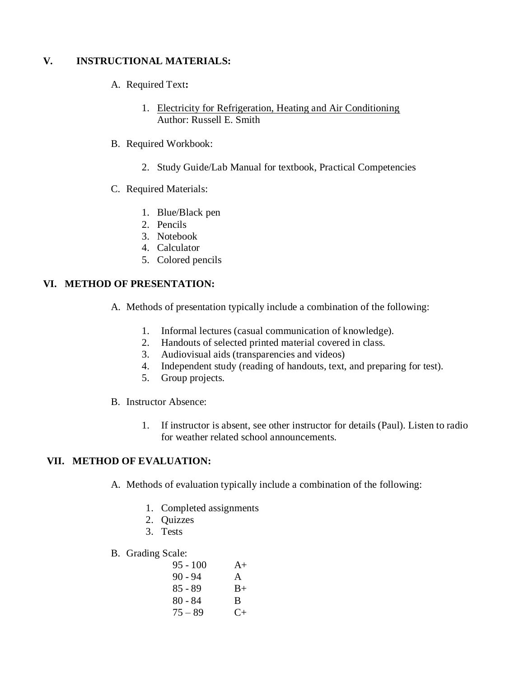# **V. INSTRUCTIONAL MATERIALS:**

- A. Required Text**:**
	- 1. Electricity for Refrigeration, Heating and Air Conditioning Author: Russell E. Smith
- B. Required Workbook:
	- 2. Study Guide/Lab Manual for textbook, Practical Competencies
- C. Required Materials:
	- 1. Blue/Black pen
	- 2. Pencils
	- 3. Notebook
	- 4. Calculator
	- 5. Colored pencils

# **VI. METHOD OF PRESENTATION:**

- A. Methods of presentation typically include a combination of the following:
	- 1. Informal lectures (casual communication of knowledge).
	- 2. Handouts of selected printed material covered in class.
	- 3. Audiovisual aids (transparencies and videos)
	- 4. Independent study (reading of handouts, text, and preparing for test).
	- 5. Group projects.
- B. Instructor Absence:
	- 1. If instructor is absent, see other instructor for details (Paul). Listen to radio for weather related school announcements.

# **VII. METHOD OF EVALUATION:**

- A. Methods of evaluation typically include a combination of the following:
	- 1. Completed assignments
	- 2. Quizzes
	- 3. Tests
- B. Grading Scale:

| $95 - 100$ | $A+$      |
|------------|-----------|
| $90 - 94$  | A         |
| $85 - 89$  | $B+$      |
| $80 - 84$  | B.        |
| $75 - 89$  | $C_{\pm}$ |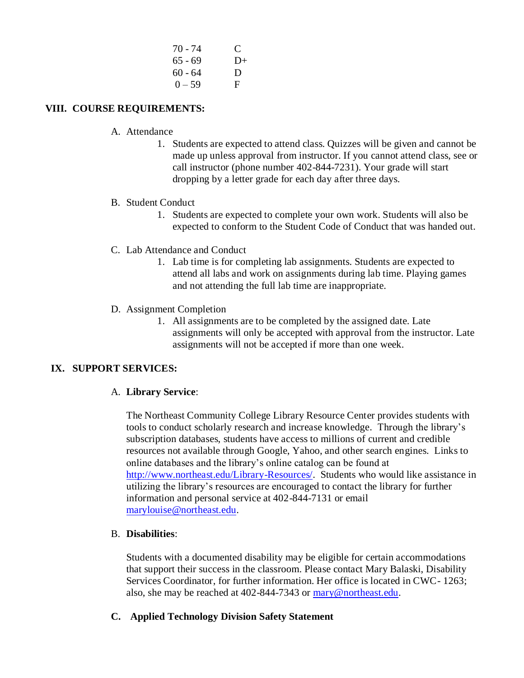| $70 - 74$ | $\mathbf C$ |
|-----------|-------------|
| $65 - 69$ | $D+$        |
| $60 - 64$ | D           |
| $() - 59$ | F           |

# **VIII. COURSE REQUIREMENTS:**

- A. Attendance
	- 1. Students are expected to attend class. Quizzes will be given and cannot be made up unless approval from instructor. If you cannot attend class, see or call instructor (phone number 402-844-7231). Your grade will start dropping by a letter grade for each day after three days.
- B. Student Conduct
	- 1. Students are expected to complete your own work. Students will also be expected to conform to the Student Code of Conduct that was handed out.
- C. Lab Attendance and Conduct
	- 1. Lab time is for completing lab assignments. Students are expected to attend all labs and work on assignments during lab time. Playing games and not attending the full lab time are inappropriate.
- D. Assignment Completion
	- 1. All assignments are to be completed by the assigned date. Late assignments will only be accepted with approval from the instructor. Late assignments will not be accepted if more than one week.

# **IX. SUPPORT SERVICES:**

#### A. **Library Service**:

The Northeast Community College Library Resource Center provides students with tools to conduct scholarly research and increase knowledge. Through the library's subscription databases, students have access to millions of current and credible resources not available through Google, Yahoo, and other search engines. Links to online databases and the library's online catalog can be found at [http://www.northeast.edu/Library-Resources/.](http://northeast.edu/LS/index/php) Students who would like assistance in utilizing the library's resources are encouraged to contact the library for further information and personal service at 402-844-7131 or email [marylouise@northeast.edu.](mailto:marylouise@northeast.edu)

#### B. **Disabilities**:

Students with a documented disability may be eligible for certain accommodations that support their success in the classroom. Please contact Mary Balaski, Disability Services Coordinator, for further information. Her office is located in CWC- 1263; also, she may be reached at 402-844-7343 or [mary@northeast.edu.](mailto:mary@northeast.edu)

# **C. Applied Technology Division Safety Statement**